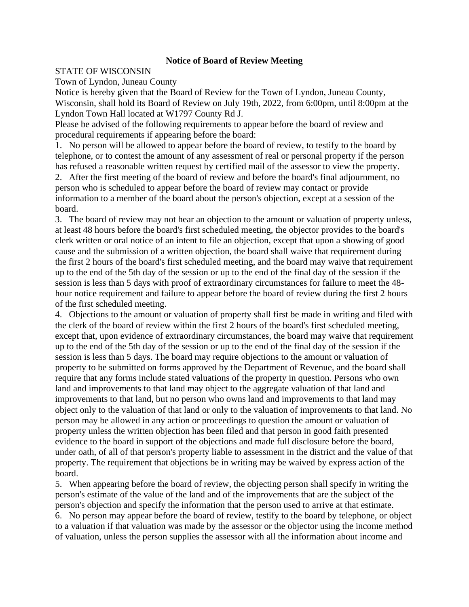## **Notice of Board of Review Meeting**

## STATE OF WISCONSIN

Town of Lyndon, Juneau County

Notice is hereby given that the Board of Review for the Town of Lyndon, Juneau County, Wisconsin, shall hold its Board of Review on July 19th, 2022, from 6:00pm, until 8:00pm at the Lyndon Town Hall located at W1797 County Rd J.

Please be advised of the following requirements to appear before the board of review and procedural requirements if appearing before the board:

1. No person will be allowed to appear before the board of review, to testify to the board by telephone, or to contest the amount of any assessment of real or personal property if the person has refused a reasonable written request by certified mail of the assessor to view the property.

2. After the first meeting of the board of review and before the board's final adjournment, no person who is scheduled to appear before the board of review may contact or provide information to a member of the board about the person's objection, except at a session of the board.

3. The board of review may not hear an objection to the amount or valuation of property unless, at least 48 hours before the board's first scheduled meeting, the objector provides to the board's clerk written or oral notice of an intent to file an objection, except that upon a showing of good cause and the submission of a written objection, the board shall waive that requirement during the first 2 hours of the board's first scheduled meeting, and the board may waive that requirement up to the end of the 5th day of the session or up to the end of the final day of the session if the session is less than 5 days with proof of extraordinary circumstances for failure to meet the 48 hour notice requirement and failure to appear before the board of review during the first 2 hours of the first scheduled meeting.

4. Objections to the amount or valuation of property shall first be made in writing and filed with the clerk of the board of review within the first 2 hours of the board's first scheduled meeting, except that, upon evidence of extraordinary circumstances, the board may waive that requirement up to the end of the 5th day of the session or up to the end of the final day of the session if the session is less than 5 days. The board may require objections to the amount or valuation of property to be submitted on forms approved by the Department of Revenue, and the board shall require that any forms include stated valuations of the property in question. Persons who own land and improvements to that land may object to the aggregate valuation of that land and improvements to that land, but no person who owns land and improvements to that land may object only to the valuation of that land or only to the valuation of improvements to that land. No person may be allowed in any action or proceedings to question the amount or valuation of property unless the written objection has been filed and that person in good faith presented evidence to the board in support of the objections and made full disclosure before the board, under oath, of all of that person's property liable to assessment in the district and the value of that property. The requirement that objections be in writing may be waived by express action of the board.

5. When appearing before the board of review, the objecting person shall specify in writing the person's estimate of the value of the land and of the improvements that are the subject of the person's objection and specify the information that the person used to arrive at that estimate. 6. No person may appear before the board of review, testify to the board by telephone, or object to a valuation if that valuation was made by the assessor or the objector using the income method of valuation, unless the person supplies the assessor with all the information about income and